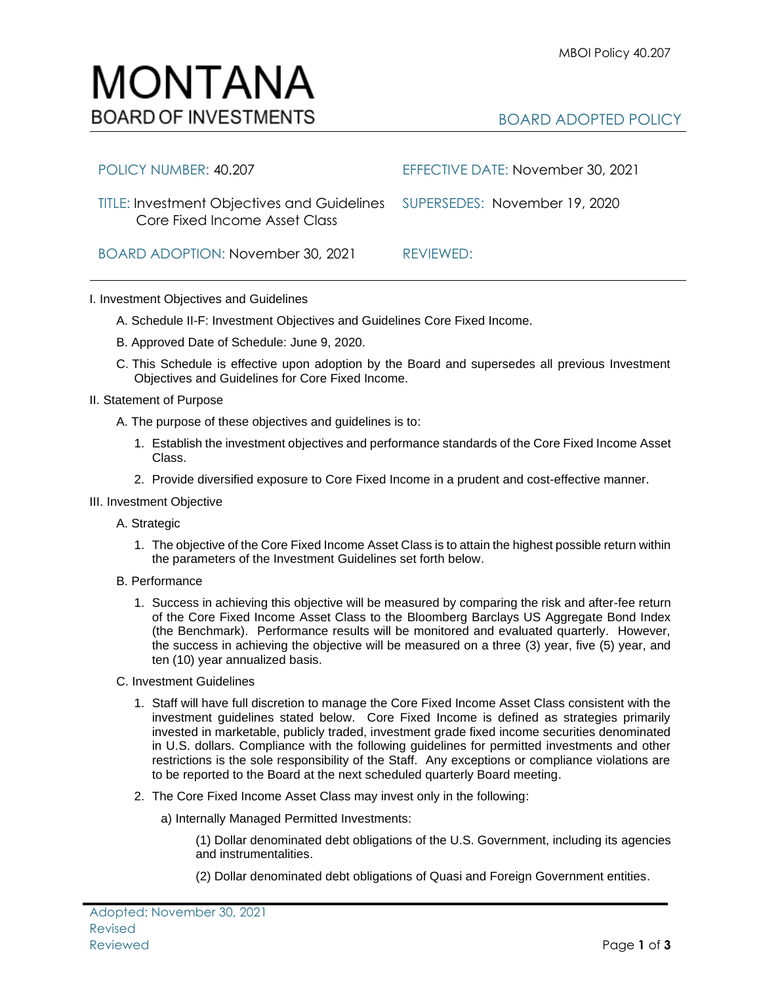## BOARD ADOPTED POLICY

| POLICY NUMBER: 40.207                                                                                      | EFFECTIVE DATE: November 30, 2021 |
|------------------------------------------------------------------------------------------------------------|-----------------------------------|
| TITLE: Investment Objectives and Guidelines SUPERSEDES: November 19, 2020<br>Core Fixed Income Asset Class |                                   |
| BOARD ADOPTION: November 30, 2021                                                                          | REVIEWED:                         |

I. Investment Objectives and Guidelines

MONTANA

**BOARD OF INVESTMENTS** 

- A. Schedule II-F: Investment Objectives and Guidelines Core Fixed Income.
- B. Approved Date of Schedule: June 9, 2020.
- C. This Schedule is effective upon adoption by the Board and supersedes all previous Investment Objectives and Guidelines for Core Fixed Income.
- II. Statement of Purpose
	- A. The purpose of these objectives and guidelines is to:
		- 1. Establish the investment objectives and performance standards of the Core Fixed Income Asset Class.
		- 2. Provide diversified exposure to Core Fixed Income in a prudent and cost-effective manner.
- III. Investment Objective
	- A. Strategic
		- 1. The objective of the Core Fixed Income Asset Class is to attain the highest possible return within the parameters of the Investment Guidelines set forth below.
	- B. Performance
		- 1. Success in achieving this objective will be measured by comparing the risk and after-fee return of the Core Fixed Income Asset Class to the Bloomberg Barclays US Aggregate Bond Index (the Benchmark). Performance results will be monitored and evaluated quarterly. However, the success in achieving the objective will be measured on a three (3) year, five (5) year, and ten (10) year annualized basis.
	- C. Investment Guidelines
		- 1. Staff will have full discretion to manage the Core Fixed Income Asset Class consistent with the investment guidelines stated below. Core Fixed Income is defined as strategies primarily invested in marketable, publicly traded, investment grade fixed income securities denominated in U.S. dollars. Compliance with the following guidelines for permitted investments and other restrictions is the sole responsibility of the Staff. Any exceptions or compliance violations are to be reported to the Board at the next scheduled quarterly Board meeting.
		- 2. The Core Fixed Income Asset Class may invest only in the following:
			- a) Internally Managed Permitted Investments:

(1) Dollar denominated debt obligations of the U.S. Government, including its agencies and instrumentalities.

(2) Dollar denominated debt obligations of Quasi and Foreign Government entities.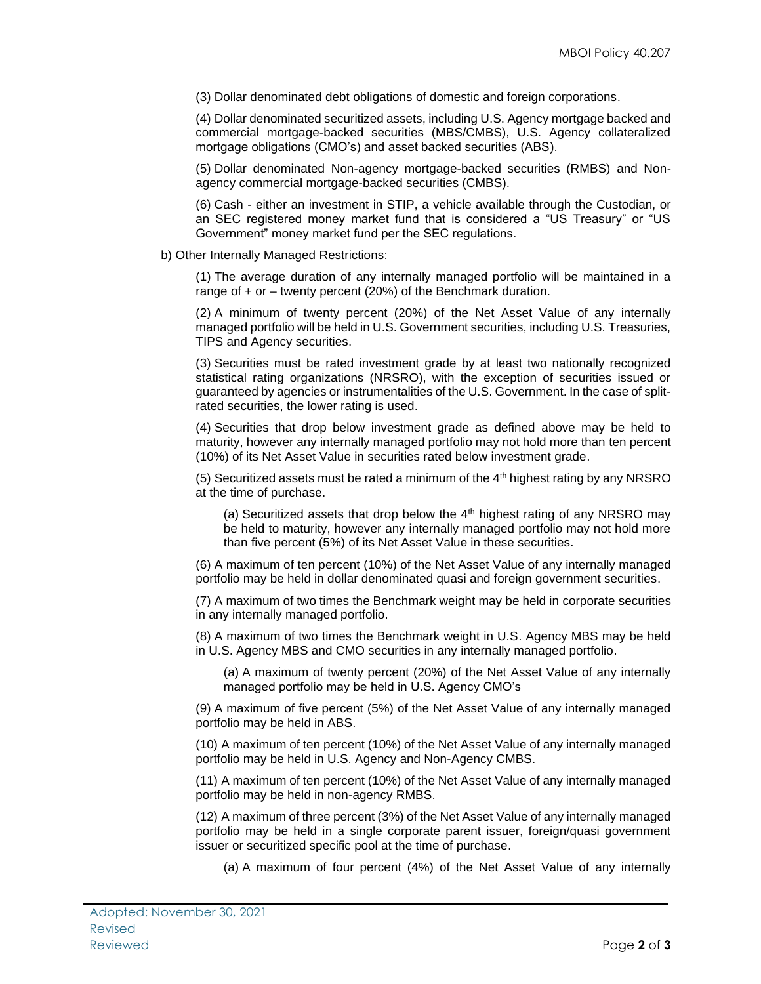(3) Dollar denominated debt obligations of domestic and foreign corporations.

(4) Dollar denominated securitized assets, including U.S. Agency mortgage backed and commercial mortgage-backed securities (MBS/CMBS), U.S. Agency collateralized mortgage obligations (CMO's) and asset backed securities (ABS).

(5) Dollar denominated Non-agency mortgage-backed securities (RMBS) and Nonagency commercial mortgage-backed securities (CMBS).

(6) Cash - either an investment in STIP, a vehicle available through the Custodian, or an SEC registered money market fund that is considered a "US Treasury" or "US Government" money market fund per the SEC regulations.

b) Other Internally Managed Restrictions:

(1) The average duration of any internally managed portfolio will be maintained in a range of + or – twenty percent (20%) of the Benchmark duration.

(2) A minimum of twenty percent (20%) of the Net Asset Value of any internally managed portfolio will be held in U.S. Government securities, including U.S. Treasuries, TIPS and Agency securities.

(3) Securities must be rated investment grade by at least two nationally recognized statistical rating organizations (NRSRO), with the exception of securities issued or guaranteed by agencies or instrumentalities of the U.S. Government. In the case of splitrated securities, the lower rating is used.

(4) Securities that drop below investment grade as defined above may be held to maturity, however any internally managed portfolio may not hold more than ten percent (10%) of its Net Asset Value in securities rated below investment grade.

(5) Securitized assets must be rated a minimum of the  $4<sup>th</sup>$  highest rating by any NRSRO at the time of purchase.

(a) Securitized assets that drop below the  $4<sup>th</sup>$  highest rating of any NRSRO may be held to maturity, however any internally managed portfolio may not hold more than five percent (5%) of its Net Asset Value in these securities.

(6) A maximum of ten percent (10%) of the Net Asset Value of any internally managed portfolio may be held in dollar denominated quasi and foreign government securities.

(7) A maximum of two times the Benchmark weight may be held in corporate securities in any internally managed portfolio.

(8) A maximum of two times the Benchmark weight in U.S. Agency MBS may be held in U.S. Agency MBS and CMO securities in any internally managed portfolio.

(a) A maximum of twenty percent (20%) of the Net Asset Value of any internally managed portfolio may be held in U.S. Agency CMO's

(9) A maximum of five percent (5%) of the Net Asset Value of any internally managed portfolio may be held in ABS.

(10) A maximum of ten percent (10%) of the Net Asset Value of any internally managed portfolio may be held in U.S. Agency and Non-Agency CMBS.

(11) A maximum of ten percent (10%) of the Net Asset Value of any internally managed portfolio may be held in non-agency RMBS.

(12) A maximum of three percent (3%) of the Net Asset Value of any internally managed portfolio may be held in a single corporate parent issuer, foreign/quasi government issuer or securitized specific pool at the time of purchase.

(a) A maximum of four percent (4%) of the Net Asset Value of any internally